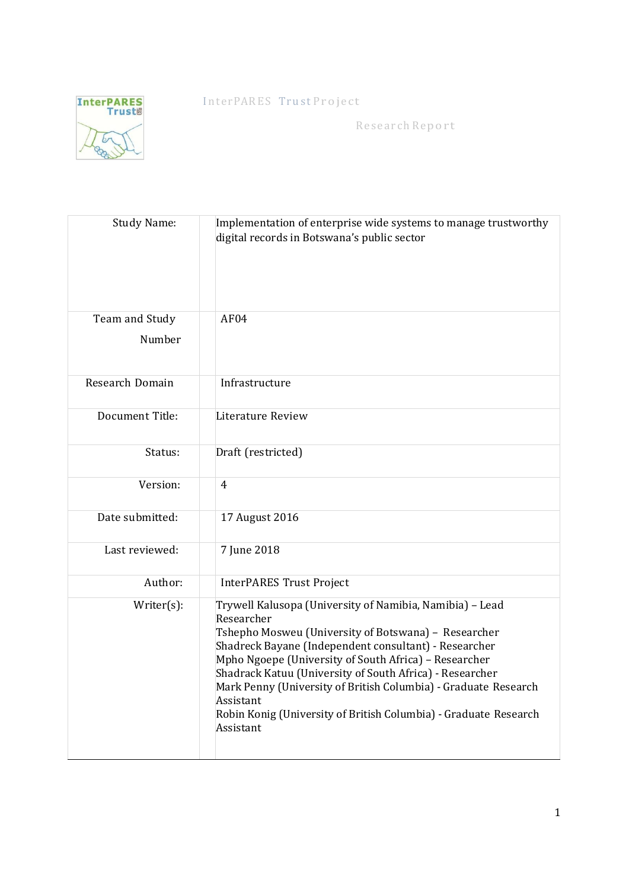**InterPARES**<br>Trust

InterPARES Trust Project

Research Report

| <b>Study Name:</b>       | Implementation of enterprise wide systems to manage trustworthy<br>digital records in Botswana's public sector                                                                                                                                                                                                                                                                                                                                                                |  |
|--------------------------|-------------------------------------------------------------------------------------------------------------------------------------------------------------------------------------------------------------------------------------------------------------------------------------------------------------------------------------------------------------------------------------------------------------------------------------------------------------------------------|--|
| Team and Study<br>Number | AF04                                                                                                                                                                                                                                                                                                                                                                                                                                                                          |  |
| Research Domain          | Infrastructure                                                                                                                                                                                                                                                                                                                                                                                                                                                                |  |
| Document Title:          | Literature Review                                                                                                                                                                                                                                                                                                                                                                                                                                                             |  |
| Status:                  | Draft (restricted)                                                                                                                                                                                                                                                                                                                                                                                                                                                            |  |
| Version:                 | 4                                                                                                                                                                                                                                                                                                                                                                                                                                                                             |  |
| Date submitted:          | 17 August 2016                                                                                                                                                                                                                                                                                                                                                                                                                                                                |  |
| Last reviewed:           | 7 June 2018                                                                                                                                                                                                                                                                                                                                                                                                                                                                   |  |
| Author:                  | <b>InterPARES Trust Project</b>                                                                                                                                                                                                                                                                                                                                                                                                                                               |  |
| Writer(s):               | Trywell Kalusopa (University of Namibia, Namibia) - Lead<br>Researcher<br>Tshepho Mosweu (University of Botswana) - Researcher<br>Shadreck Bayane (Independent consultant) - Researcher<br>Mpho Ngoepe (University of South Africa) - Researcher<br>Shadrack Katuu (University of South Africa) - Researcher<br>Mark Penny (University of British Columbia) - Graduate Research<br>Assistant<br>Robin Konig (University of British Columbia) - Graduate Research<br>Assistant |  |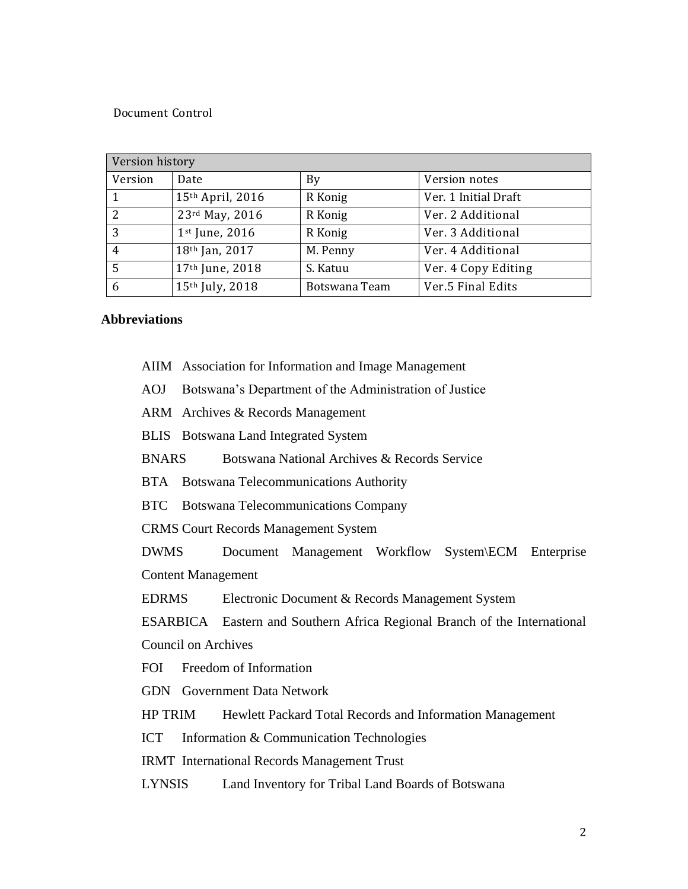#### Document Control

| Version history |                  |               |                      |  |
|-----------------|------------------|---------------|----------------------|--|
| Version         | Date             | By            | Version notes        |  |
|                 | 15th April, 2016 | R Konig       | Ver. 1 Initial Draft |  |
| $\mathcal{L}$   | 23rd May, 2016   | R Konig       | Ver. 2 Additional    |  |
| 3               | 1st June, 2016   | R Konig       | Ver. 3 Additional    |  |
| 4               | 18th Jan, 2017   | M. Penny      | Ver. 4 Additional    |  |
| 5               | 17th June, 2018  | S. Katuu      | Ver. 4 Copy Editing  |  |
| 6               | 15th July, 2018  | Botswana Team | Ver.5 Final Edits    |  |

# **Abbreviations**

AIIM Association for Information and Image Management

AOJ Botswana's Department of the Administration of Justice

ARM Archives & Records Management

BLIS Botswana Land Integrated System

BNARS Botswana National Archives & Records Service

BTA Botswana Telecommunications Authority

BTC Botswana Telecommunications Company

CRMS Court Records Management System

DWMS Document Management Workflow System\ECM Enterprise Content Management

EDRMS Electronic Document & Records Management System

ESARBICA Eastern and Southern Africa Regional Branch of the International Council on Archives

FOI Freedom of Information

GDN Government Data Network

HP TRIM Hewlett Packard Total Records and Information Management

ICT Information & Communication Technologies

IRMT International Records Management Trust

LYNSIS Land Inventory for Tribal Land Boards of Botswana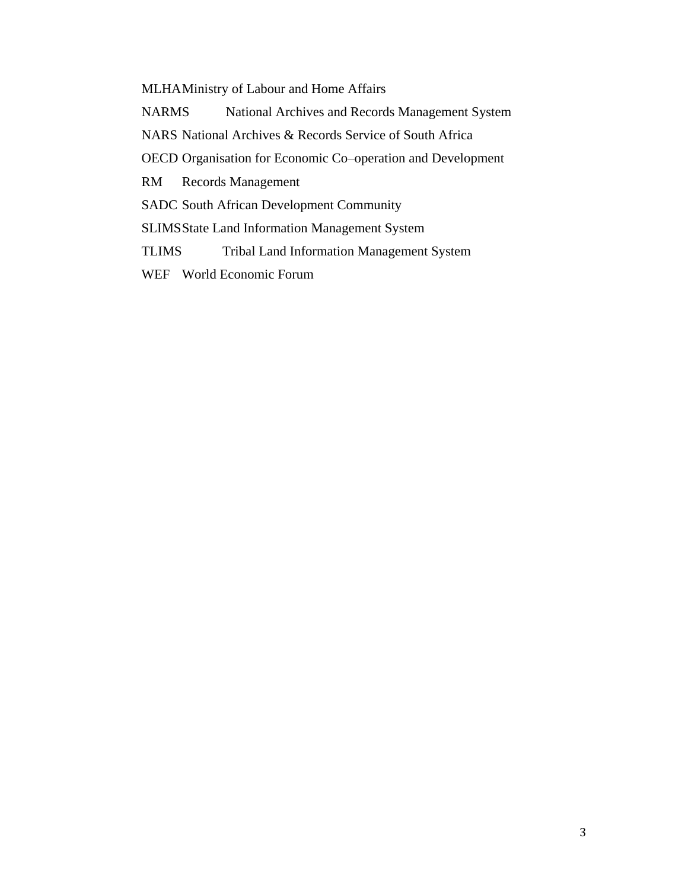MLHAMinistry of Labour and Home Affairs

NARMS National Archives and Records Management System

NARS National Archives & Records Service of South Africa

OECD Organisation for Economic Co–operation and Development

RM Records Management

SADC South African Development Community

SLIMSState Land Information Management System

TLIMS Tribal Land Information Management System

WEF World Economic Forum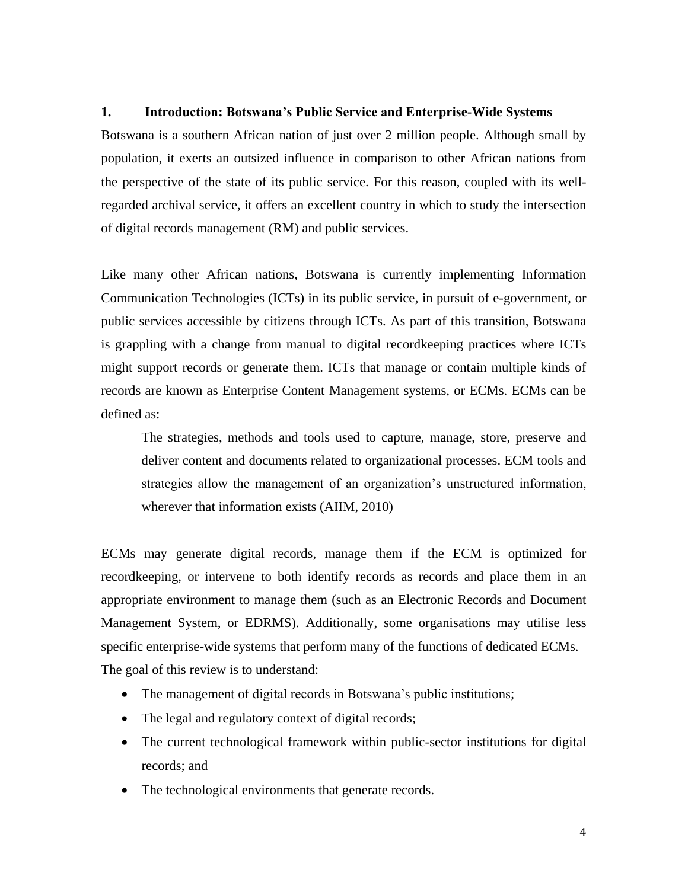## **1. Introduction: Botswana's Public Service and Enterprise-Wide Systems**

Botswana is a southern African nation of just over 2 million people. Although small by population, it exerts an outsized influence in comparison to other African nations from the perspective of the state of its public service. For this reason, coupled with its wellregarded archival service, it offers an excellent country in which to study the intersection of digital records management (RM) and public services.

Like many other African nations, Botswana is currently implementing Information Communication Technologies (ICTs) in its public service, in pursuit of e-government, or public services accessible by citizens through ICTs. As part of this transition, Botswana is grappling with a change from manual to digital recordkeeping practices where ICTs might support records or generate them. ICTs that manage or contain multiple kinds of records are known as Enterprise Content Management systems, or ECMs. ECMs can be defined as:

The strategies, methods and tools used to capture, manage, store, preserve and deliver content and documents related to organizational processes. ECM tools and strategies allow the management of an organization's unstructured information, wherever that information exists (AIIM, 2010)

ECMs may generate digital records, manage them if the ECM is optimized for recordkeeping, or intervene to both identify records as records and place them in an appropriate environment to manage them (such as an Electronic Records and Document Management System, or EDRMS). Additionally, some organisations may utilise less specific enterprise-wide systems that perform many of the functions of dedicated ECMs. The goal of this review is to understand:

- The management of digital records in Botswana's public institutions;
- The legal and regulatory context of digital records;
- The current technological framework within public-sector institutions for digital records; and
- The technological environments that generate records.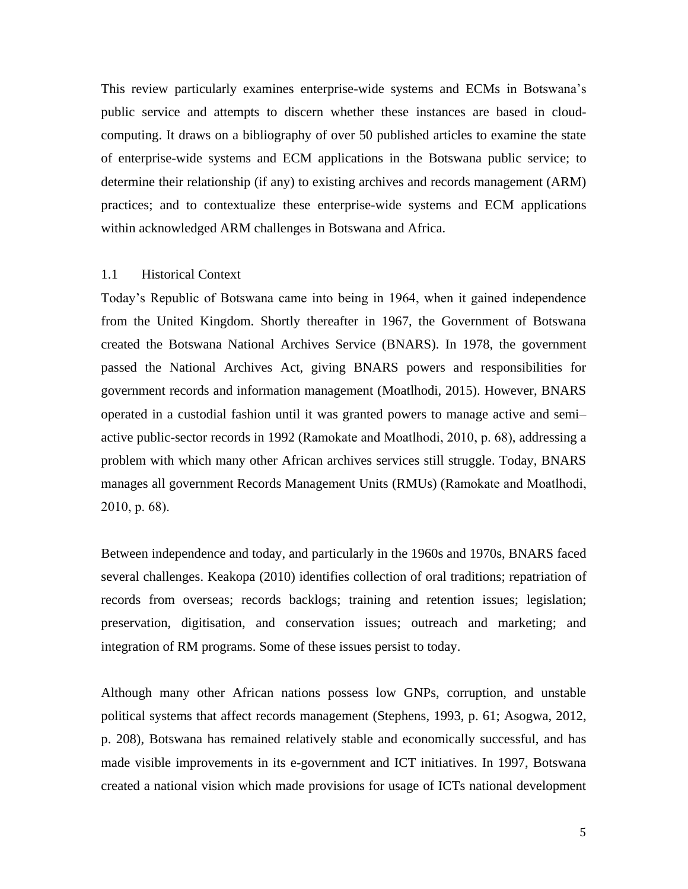This review particularly examines enterprise-wide systems and ECMs in Botswana's public service and attempts to discern whether these instances are based in cloudcomputing. It draws on a bibliography of over 50 published articles to examine the state of enterprise-wide systems and ECM applications in the Botswana public service; to determine their relationship (if any) to existing archives and records management (ARM) practices; and to contextualize these enterprise-wide systems and ECM applications within acknowledged ARM challenges in Botswana and Africa.

# 1.1 Historical Context

Today's Republic of Botswana came into being in 1964, when it gained independence from the United Kingdom. Shortly thereafter in 1967, the Government of Botswana created the Botswana National Archives Service (BNARS). In 1978, the government passed the National Archives Act, giving BNARS powers and responsibilities for government records and information management (Moatlhodi, 2015). However, BNARS operated in a custodial fashion until it was granted powers to manage active and semi– active public-sector records in 1992 (Ramokate and Moatlhodi, 2010, p. 68), addressing a problem with which many other African archives services still struggle. Today, BNARS manages all government Records Management Units (RMUs) (Ramokate and Moatlhodi, 2010, p. 68).

Between independence and today, and particularly in the 1960s and 1970s, BNARS faced several challenges. Keakopa (2010) identifies collection of oral traditions; repatriation of records from overseas; records backlogs; training and retention issues; legislation; preservation, digitisation, and conservation issues; outreach and marketing; and integration of RM programs. Some of these issues persist to today.

Although many other African nations possess low GNPs, corruption, and unstable political systems that affect records management (Stephens, 1993, p. 61; Asogwa, 2012, p. 208), Botswana has remained relatively stable and economically successful, and has made visible improvements in its e-government and ICT initiatives. In 1997, Botswana created a national vision which made provisions for usage of ICTs national development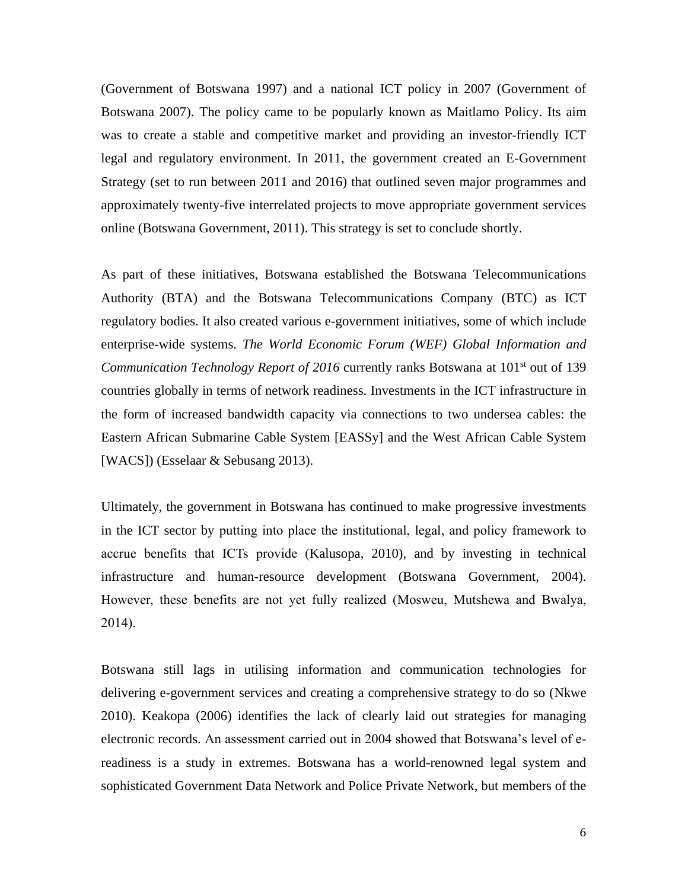(Government of Botswana 1997) and a national ICT policy in 2007 (Government of Botswana 2007). The policy came to be popularly known as Maitlamo Policy. Its aim was to create a stable and competitive market and providing an investor-friendly ICT legal and regulatory environment. In 2011, the government created an E-Government Strategy (set to run between 2011 and 2016) that outlined seven major programmes and approximately twenty-five interrelated projects to move appropriate government services online (Botswana Government, 2011). This strategy is set to conclude shortly.

As part of these initiatives, Botswana established the Botswana Telecommunications Authority (BTA) and the Botswana Telecommunications Company (BTC) as ICT regulatory bodies. It also created various e-government initiatives, some of which include enterprise-wide systems. *The World Economic Forum (WEF) Global Information and Communication Technology Report of 2016* currently ranks Botswana at 101<sup>st</sup> out of 139 countries globally in terms of network readiness. Investments in the ICT infrastructure in the form of increased bandwidth capacity via connections to two undersea cables: the Eastern African Submarine Cable System [EASSy] and the West African Cable System [WACS]) (Esselaar & Sebusang 2013).

Ultimately, the government in Botswana has continued to make progressive investments in the ICT sector by putting into place the institutional, legal, and policy framework to accrue benefits that ICTs provide (Kalusopa, 2010), and by investing in technical infrastructure and human-resource development (Botswana Government, 2004). However, these benefits are not yet fully realized (Mosweu, Mutshewa and Bwalya, 2014).

Botswana still lags in utilising information and communication technologies for delivering e-government services and creating a comprehensive strategy to do so (Nkwe 2010). Keakopa (2006) identifies the lack of clearly laid out strategies for managing electronic records. An assessment carried out in 2004 showed that Botswana's level of ereadiness is a study in extremes. Botswana has a world-renowned legal system and sophisticated Government Data Network and Police Private Network, but members of the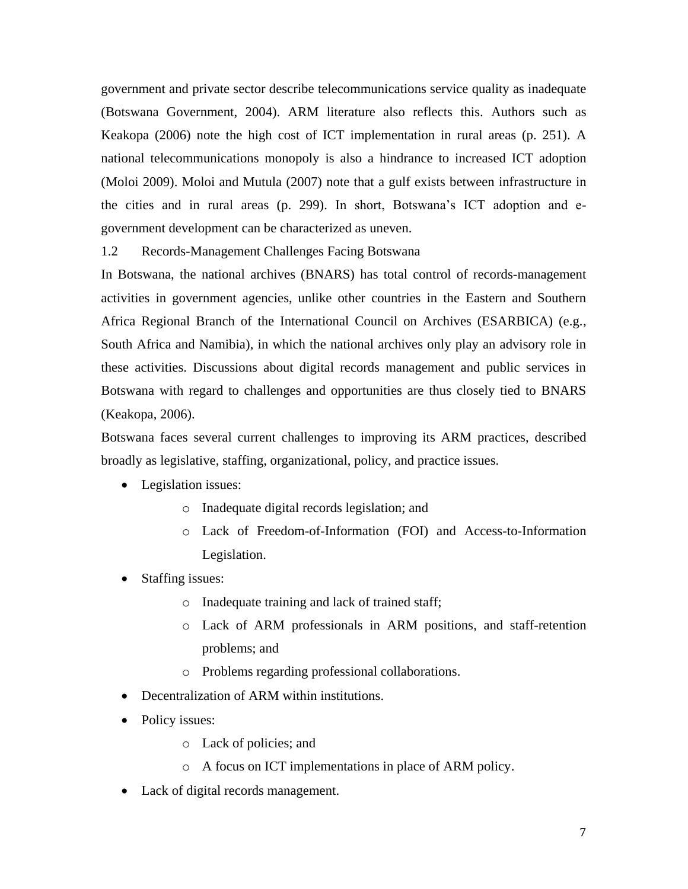government and private sector describe telecommunications service quality as inadequate (Botswana Government, 2004). ARM literature also reflects this. Authors such as Keakopa (2006) note the high cost of ICT implementation in rural areas (p. 251). A national telecommunications monopoly is also a hindrance to increased ICT adoption (Moloi 2009). Moloi and Mutula (2007) note that a gulf exists between infrastructure in the cities and in rural areas (p. 299). In short, Botswana's ICT adoption and egovernment development can be characterized as uneven.

1.2 Records-Management Challenges Facing Botswana

In Botswana, the national archives (BNARS) has total control of records-management activities in government agencies, unlike other countries in the Eastern and Southern Africa Regional Branch of the International Council on Archives (ESARBICA) (e.g., South Africa and Namibia), in which the national archives only play an advisory role in these activities. Discussions about digital records management and public services in Botswana with regard to challenges and opportunities are thus closely tied to BNARS (Keakopa, 2006).

Botswana faces several current challenges to improving its ARM practices, described broadly as legislative, staffing, organizational, policy, and practice issues.

- Legislation issues:
	- o Inadequate digital records legislation; and
	- o Lack of Freedom-of-Information (FOI) and Access-to-Information Legislation.
- Staffing issues:
	- o Inadequate training and lack of trained staff;
	- o Lack of ARM professionals in ARM positions, and staff-retention problems; and
	- o Problems regarding professional collaborations.
- Decentralization of ARM within institutions.
- Policy issues:
	- o Lack of policies; and
	- o A focus on ICT implementations in place of ARM policy.
- Lack of digital records management.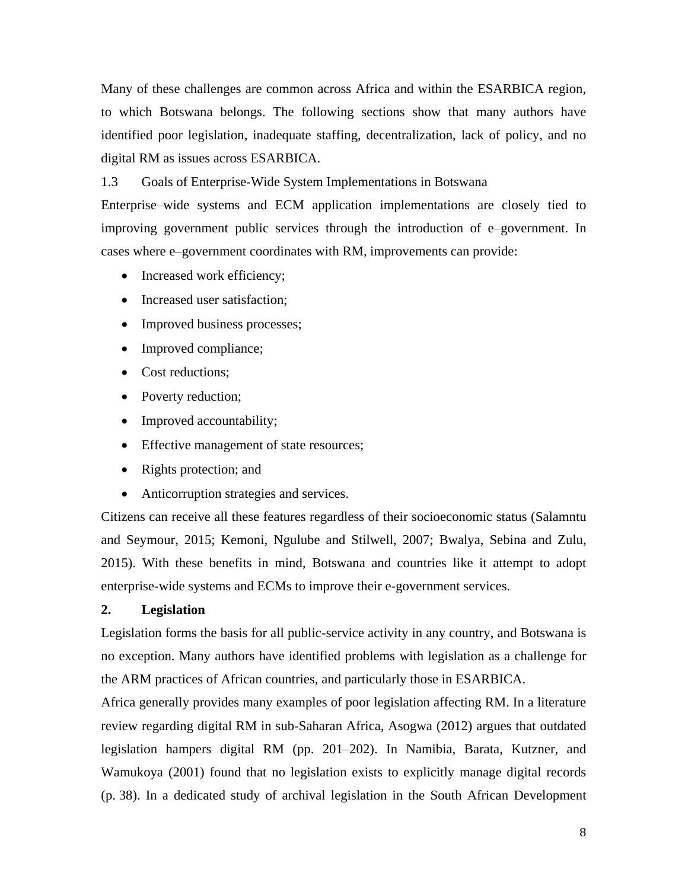Many of these challenges are common across Africa and within the ESARBICA region, to which Botswana belongs. The following sections show that many authors have identified poor legislation, inadequate staffing, decentralization, lack of policy, and no digital RM as issues across ESARBICA.

# 1.3 Goals of Enterprise-Wide System Implementations in Botswana

Enterprise–wide systems and ECM application implementations are closely tied to improving government public services through the introduction of e–government. In cases where e–government coordinates with RM, improvements can provide:

- Increased work efficiency;
- Increased user satisfaction:
- Improved business processes;
- Improved compliance;
- Cost reductions;
- Poverty reduction;
- Improved accountability;
- Effective management of state resources;
- Rights protection; and
- Anticorruption strategies and services.

Citizens can receive all these features regardless of their socioeconomic status (Salamntu and Seymour, 2015; Kemoni, Ngulube and Stilwell, 2007; Bwalya, Sebina and Zulu, 2015). With these benefits in mind, Botswana and countries like it attempt to adopt enterprise-wide systems and ECMs to improve their e-government services.

# **2. Legislation**

Legislation forms the basis for all public-service activity in any country, and Botswana is no exception. Many authors have identified problems with legislation as a challenge for the ARM practices of African countries, and particularly those in ESARBICA.

Africa generally provides many examples of poor legislation affecting RM. In a literature review regarding digital RM in sub-Saharan Africa, Asogwa (2012) argues that outdated legislation hampers digital RM (pp. 201–202). In Namibia, Barata, Kutzner, and Wamukoya (2001) found that no legislation exists to explicitly manage digital records (p. 38). In a dedicated study of archival legislation in the South African Development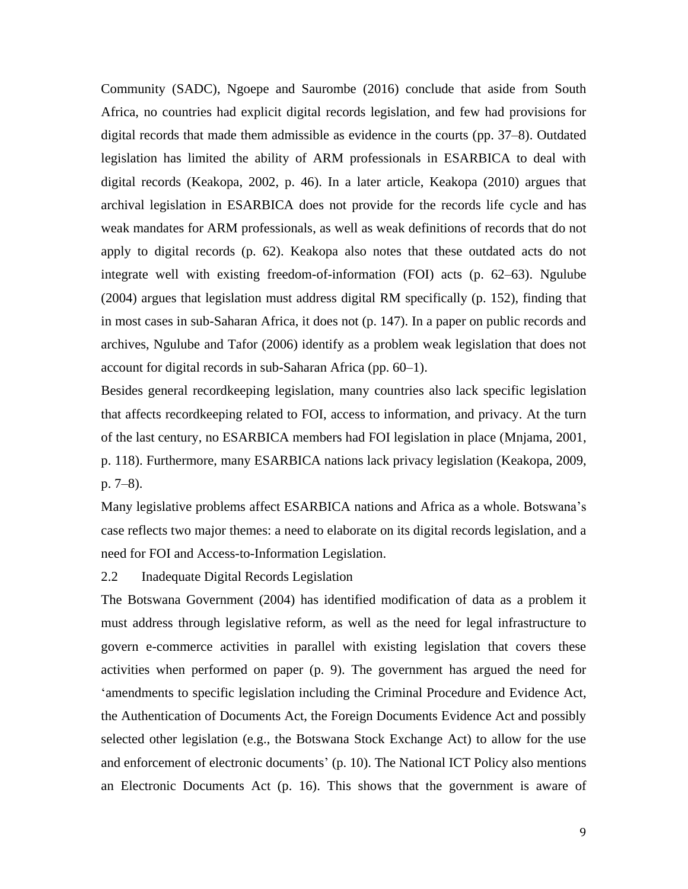Community (SADC), Ngoepe and Saurombe (2016) conclude that aside from South Africa, no countries had explicit digital records legislation, and few had provisions for digital records that made them admissible as evidence in the courts (pp. 37–8). Outdated legislation has limited the ability of ARM professionals in ESARBICA to deal with digital records (Keakopa, 2002, p. 46). In a later article, Keakopa (2010) argues that archival legislation in ESARBICA does not provide for the records life cycle and has weak mandates for ARM professionals, as well as weak definitions of records that do not apply to digital records (p. 62). Keakopa also notes that these outdated acts do not integrate well with existing freedom-of-information (FOI) acts (p. 62–63). Ngulube (2004) argues that legislation must address digital RM specifically (p. 152), finding that in most cases in sub-Saharan Africa, it does not (p. 147). In a paper on public records and archives, Ngulube and Tafor (2006) identify as a problem weak legislation that does not account for digital records in sub-Saharan Africa (pp. 60–1).

Besides general recordkeeping legislation, many countries also lack specific legislation that affects recordkeeping related to FOI, access to information, and privacy. At the turn of the last century, no ESARBICA members had FOI legislation in place (Mnjama, 2001, p. 118). Furthermore, many ESARBICA nations lack privacy legislation (Keakopa, 2009, p. 7–8).

Many legislative problems affect ESARBICA nations and Africa as a whole. Botswana's case reflects two major themes: a need to elaborate on its digital records legislation, and a need for FOI and Access-to-Information Legislation.

2.2 Inadequate Digital Records Legislation

The Botswana Government (2004) has identified modification of data as a problem it must address through legislative reform, as well as the need for legal infrastructure to govern e-commerce activities in parallel with existing legislation that covers these activities when performed on paper (p. 9). The government has argued the need for 'amendments to specific legislation including the Criminal Procedure and Evidence Act, the Authentication of Documents Act, the Foreign Documents Evidence Act and possibly selected other legislation (e.g., the Botswana Stock Exchange Act) to allow for the use and enforcement of electronic documents' (p. 10). The National ICT Policy also mentions an Electronic Documents Act (p. 16). This shows that the government is aware of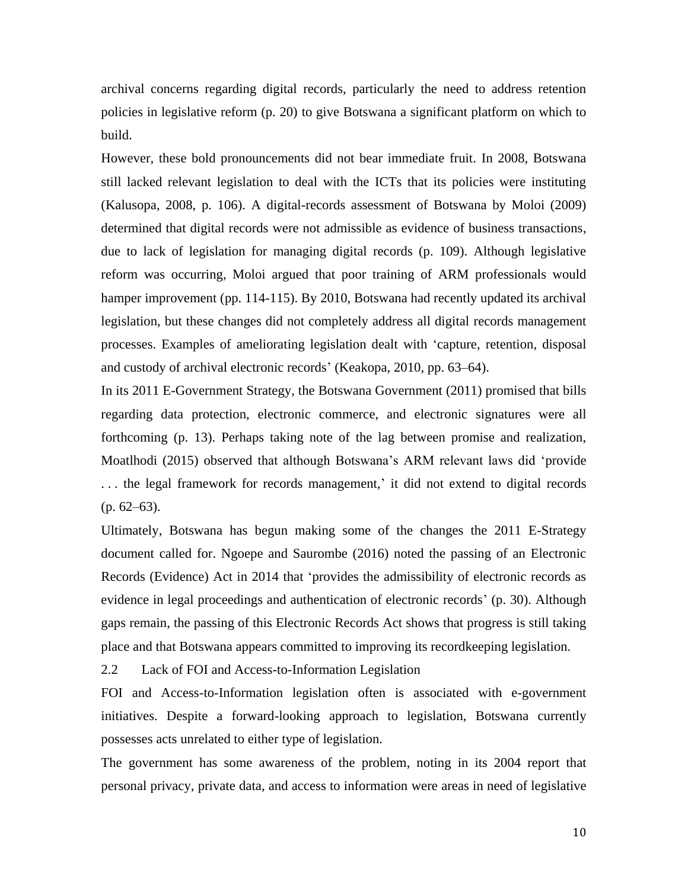archival concerns regarding digital records, particularly the need to address retention policies in legislative reform (p. 20) to give Botswana a significant platform on which to build.

However, these bold pronouncements did not bear immediate fruit. In 2008, Botswana still lacked relevant legislation to deal with the ICTs that its policies were instituting (Kalusopa, 2008, p. 106). A digital-records assessment of Botswana by Moloi (2009) determined that digital records were not admissible as evidence of business transactions, due to lack of legislation for managing digital records (p. 109). Although legislative reform was occurring, Moloi argued that poor training of ARM professionals would hamper improvement (pp. 114-115). By 2010, Botswana had recently updated its archival legislation, but these changes did not completely address all digital records management processes. Examples of ameliorating legislation dealt with 'capture, retention, disposal and custody of archival electronic records' (Keakopa, 2010, pp. 63–64).

In its 2011 E-Government Strategy, the Botswana Government (2011) promised that bills regarding data protection, electronic commerce, and electronic signatures were all forthcoming (p. 13). Perhaps taking note of the lag between promise and realization, Moatlhodi (2015) observed that although Botswana's ARM relevant laws did 'provide ... the legal framework for records management,' it did not extend to digital records  $(p. 62-63)$ .

Ultimately, Botswana has begun making some of the changes the 2011 E-Strategy document called for. Ngoepe and Saurombe (2016) noted the passing of an Electronic Records (Evidence) Act in 2014 that 'provides the admissibility of electronic records as evidence in legal proceedings and authentication of electronic records' (p. 30). Although gaps remain, the passing of this Electronic Records Act shows that progress is still taking place and that Botswana appears committed to improving its recordkeeping legislation.

2.2 Lack of FOI and Access-to-Information Legislation

FOI and Access-to-Information legislation often is associated with e-government initiatives. Despite a forward-looking approach to legislation, Botswana currently possesses acts unrelated to either type of legislation.

The government has some awareness of the problem, noting in its 2004 report that personal privacy, private data, and access to information were areas in need of legislative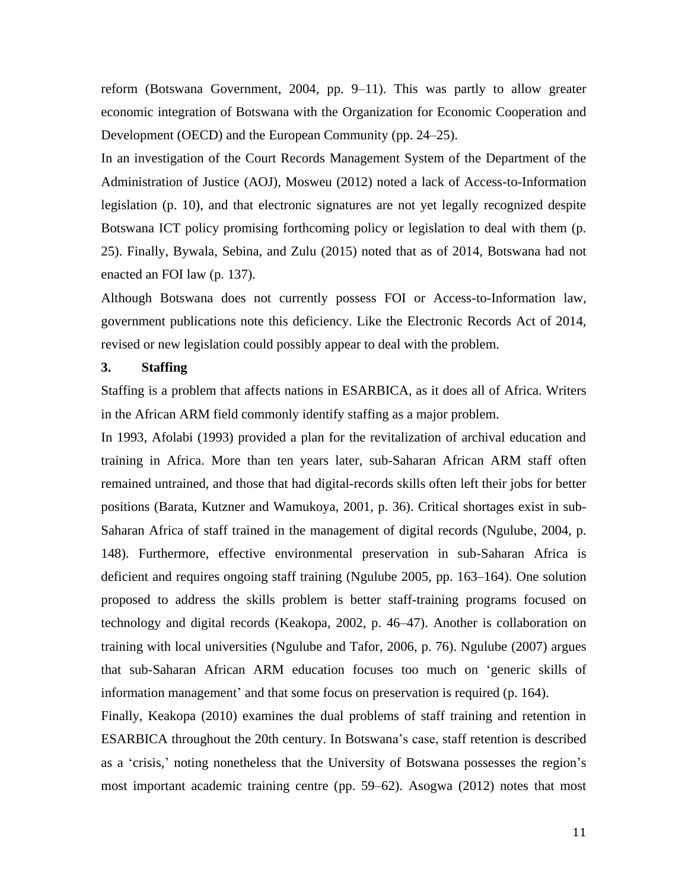reform (Botswana Government, 2004, pp. 9–11). This was partly to allow greater economic integration of Botswana with the Organization for Economic Cooperation and Development (OECD) and the European Community (pp. 24–25).

In an investigation of the Court Records Management System of the Department of the Administration of Justice (AOJ), Mosweu (2012) noted a lack of Access-to-Information legislation (p. 10), and that electronic signatures are not yet legally recognized despite Botswana ICT policy promising forthcoming policy or legislation to deal with them (p. 25). Finally, Bywala, Sebina, and Zulu (2015) noted that as of 2014, Botswana had not enacted an FOI law (p. 137).

Although Botswana does not currently possess FOI or Access-to-Information law, government publications note this deficiency. Like the Electronic Records Act of 2014, revised or new legislation could possibly appear to deal with the problem.

#### **3. Staffing**

Staffing is a problem that affects nations in ESARBICA, as it does all of Africa. Writers in the African ARM field commonly identify staffing as a major problem.

In 1993, Afolabi (1993) provided a plan for the revitalization of archival education and training in Africa. More than ten years later, sub-Saharan African ARM staff often remained untrained, and those that had digital-records skills often left their jobs for better positions (Barata, Kutzner and Wamukoya, 2001, p. 36). Critical shortages exist in sub-Saharan Africa of staff trained in the management of digital records (Ngulube, 2004, p. 148). Furthermore, effective environmental preservation in sub-Saharan Africa is deficient and requires ongoing staff training (Ngulube 2005, pp. 163–164). One solution proposed to address the skills problem is better staff-training programs focused on technology and digital records (Keakopa, 2002, p. 46–47). Another is collaboration on training with local universities (Ngulube and Tafor, 2006, p. 76). Ngulube (2007) argues that sub-Saharan African ARM education focuses too much on 'generic skills of information management' and that some focus on preservation is required (p. 164).

Finally, Keakopa (2010) examines the dual problems of staff training and retention in ESARBICA throughout the 20th century. In Botswana's case, staff retention is described as a 'crisis,' noting nonetheless that the University of Botswana possesses the region's most important academic training centre (pp. 59–62). Asogwa (2012) notes that most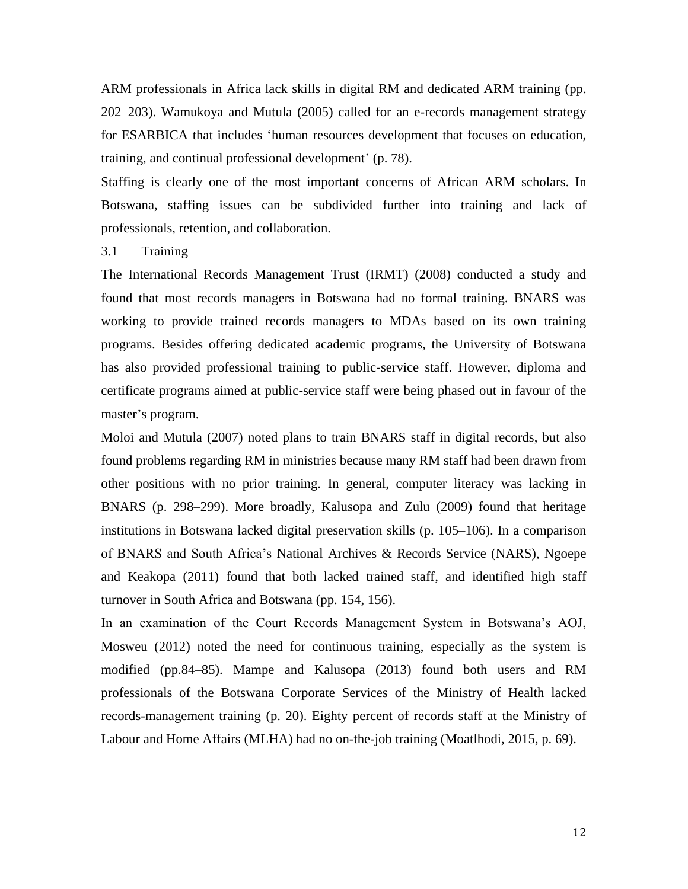ARM professionals in Africa lack skills in digital RM and dedicated ARM training (pp. 202–203). Wamukoya and Mutula (2005) called for an e-records management strategy for ESARBICA that includes 'human resources development that focuses on education, training, and continual professional development' (p. 78).

Staffing is clearly one of the most important concerns of African ARM scholars. In Botswana, staffing issues can be subdivided further into training and lack of professionals, retention, and collaboration.

### 3.1 Training

The International Records Management Trust (IRMT) (2008) conducted a study and found that most records managers in Botswana had no formal training. BNARS was working to provide trained records managers to MDAs based on its own training programs. Besides offering dedicated academic programs, the University of Botswana has also provided professional training to public-service staff. However, diploma and certificate programs aimed at public-service staff were being phased out in favour of the master's program.

Moloi and Mutula (2007) noted plans to train BNARS staff in digital records, but also found problems regarding RM in ministries because many RM staff had been drawn from other positions with no prior training. In general, computer literacy was lacking in BNARS (p. 298–299). More broadly, Kalusopa and Zulu (2009) found that heritage institutions in Botswana lacked digital preservation skills (p. 105–106). In a comparison of BNARS and South Africa's National Archives & Records Service (NARS), Ngoepe and Keakopa (2011) found that both lacked trained staff, and identified high staff turnover in South Africa and Botswana (pp. 154, 156).

In an examination of the Court Records Management System in Botswana's AOJ, Mosweu (2012) noted the need for continuous training, especially as the system is modified (pp.84–85). Mampe and Kalusopa (2013) found both users and RM professionals of the Botswana Corporate Services of the Ministry of Health lacked records-management training (p. 20). Eighty percent of records staff at the Ministry of Labour and Home Affairs (MLHA) had no on-the-job training (Moatlhodi, 2015, p. 69).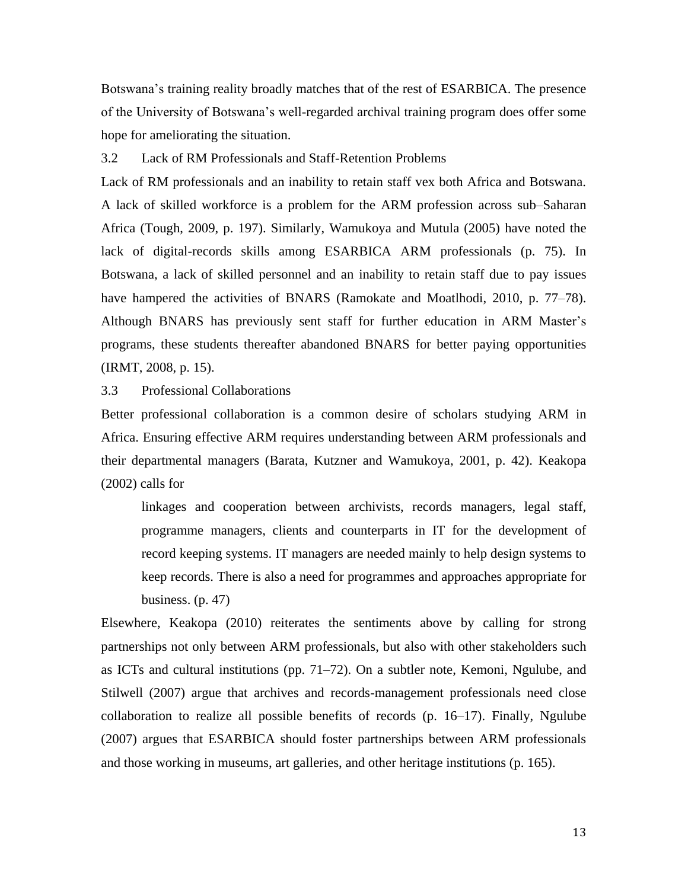Botswana's training reality broadly matches that of the rest of ESARBICA. The presence of the University of Botswana's well-regarded archival training program does offer some hope for ameliorating the situation.

### 3.2 Lack of RM Professionals and Staff-Retention Problems

Lack of RM professionals and an inability to retain staff vex both Africa and Botswana. A lack of skilled workforce is a problem for the ARM profession across sub–Saharan Africa (Tough, 2009, p. 197). Similarly, Wamukoya and Mutula (2005) have noted the lack of digital-records skills among ESARBICA ARM professionals (p. 75). In Botswana, a lack of skilled personnel and an inability to retain staff due to pay issues have hampered the activities of BNARS (Ramokate and Moatlhodi, 2010, p. 77–78). Although BNARS has previously sent staff for further education in ARM Master's programs, these students thereafter abandoned BNARS for better paying opportunities (IRMT, 2008, p. 15).

## 3.3 Professional Collaborations

Better professional collaboration is a common desire of scholars studying ARM in Africa. Ensuring effective ARM requires understanding between ARM professionals and their departmental managers (Barata, Kutzner and Wamukoya, 2001, p. 42). Keakopa (2002) calls for

linkages and cooperation between archivists, records managers, legal staff, programme managers, clients and counterparts in IT for the development of record keeping systems. IT managers are needed mainly to help design systems to keep records. There is also a need for programmes and approaches appropriate for business.  $(p. 47)$ 

Elsewhere, Keakopa (2010) reiterates the sentiments above by calling for strong partnerships not only between ARM professionals, but also with other stakeholders such as ICTs and cultural institutions (pp. 71–72). On a subtler note, Kemoni, Ngulube, and Stilwell (2007) argue that archives and records-management professionals need close collaboration to realize all possible benefits of records (p. 16–17). Finally, Ngulube (2007) argues that ESARBICA should foster partnerships between ARM professionals and those working in museums, art galleries, and other heritage institutions (p. 165).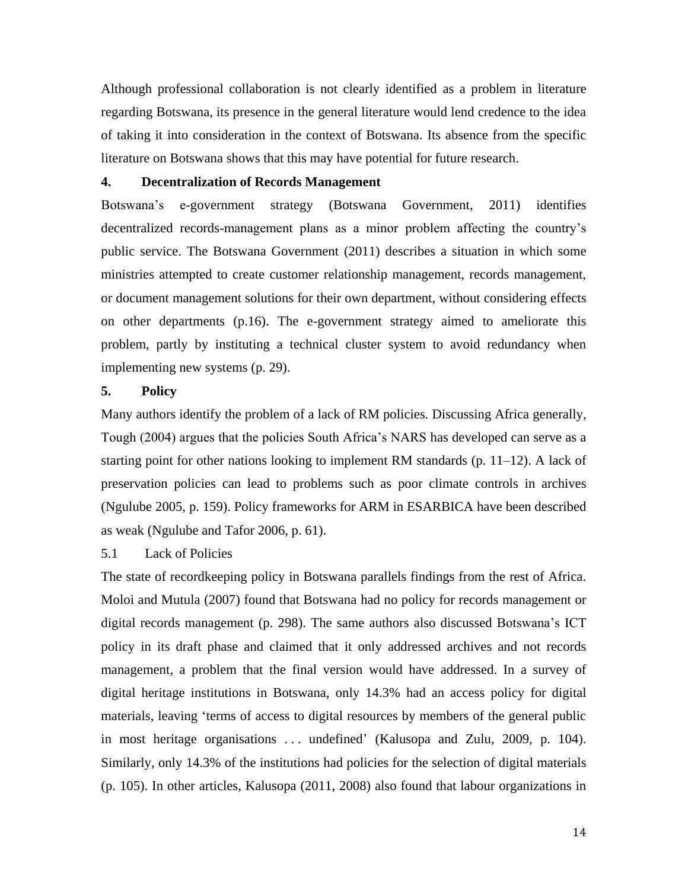Although professional collaboration is not clearly identified as a problem in literature regarding Botswana, its presence in the general literature would lend credence to the idea of taking it into consideration in the context of Botswana. Its absence from the specific literature on Botswana shows that this may have potential for future research.

# **4. Decentralization of Records Management**

Botswana's e-government strategy (Botswana Government, 2011) identifies decentralized records-management plans as a minor problem affecting the country's public service. The Botswana Government (2011) describes a situation in which some ministries attempted to create customer relationship management, records management, or document management solutions for their own department, without considering effects on other departments (p.16). The e-government strategy aimed to ameliorate this problem, partly by instituting a technical cluster system to avoid redundancy when implementing new systems (p. 29).

# **5. Policy**

Many authors identify the problem of a lack of RM policies. Discussing Africa generally, Tough (2004) argues that the policies South Africa's NARS has developed can serve as a starting point for other nations looking to implement RM standards (p. 11–12). A lack of preservation policies can lead to problems such as poor climate controls in archives (Ngulube 2005, p. 159). Policy frameworks for ARM in ESARBICA have been described as weak (Ngulube and Tafor 2006, p. 61).

# 5.1 Lack of Policies

The state of recordkeeping policy in Botswana parallels findings from the rest of Africa. Moloi and Mutula (2007) found that Botswana had no policy for records management or digital records management (p. 298). The same authors also discussed Botswana's ICT policy in its draft phase and claimed that it only addressed archives and not records management, a problem that the final version would have addressed. In a survey of digital heritage institutions in Botswana, only 14.3% had an access policy for digital materials, leaving 'terms of access to digital resources by members of the general public in most heritage organisations . . . undefined' (Kalusopa and Zulu, 2009, p. 104). Similarly, only 14.3% of the institutions had policies for the selection of digital materials (p. 105). In other articles, Kalusopa (2011, 2008) also found that labour organizations in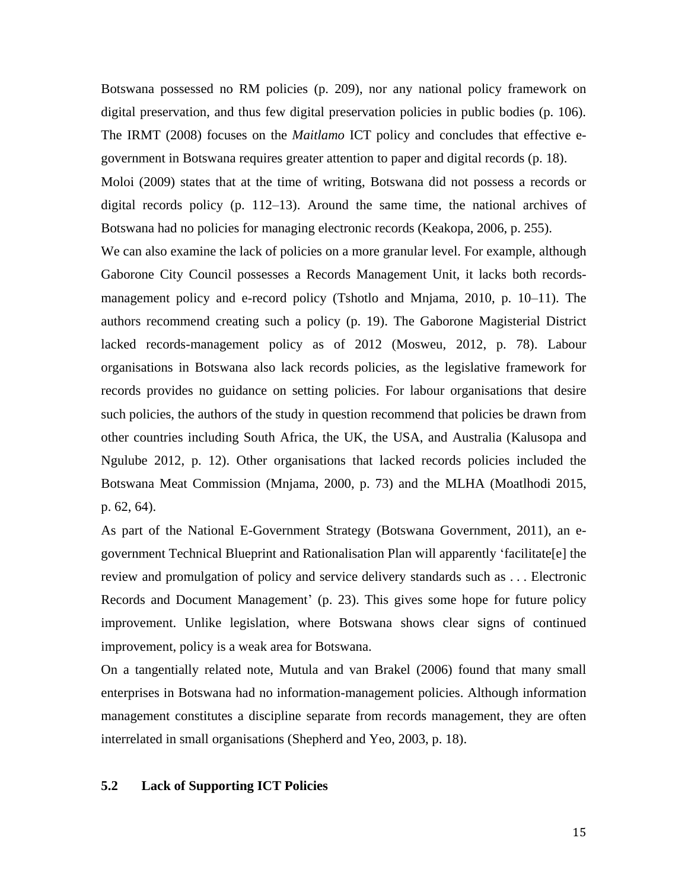Botswana possessed no RM policies (p. 209), nor any national policy framework on digital preservation, and thus few digital preservation policies in public bodies (p. 106). The IRMT (2008) focuses on the *Maitlamo* ICT policy and concludes that effective egovernment in Botswana requires greater attention to paper and digital records (p. 18). Moloi (2009) states that at the time of writing, Botswana did not possess a records or digital records policy (p. 112–13). Around the same time, the national archives of Botswana had no policies for managing electronic records (Keakopa, 2006, p. 255).

We can also examine the lack of policies on a more granular level. For example, although Gaborone City Council possesses a Records Management Unit, it lacks both recordsmanagement policy and e-record policy (Tshotlo and Mnjama, 2010, p. 10–11). The authors recommend creating such a policy (p. 19). The Gaborone Magisterial District lacked records-management policy as of 2012 (Mosweu, 2012, p. 78). Labour organisations in Botswana also lack records policies, as the legislative framework for records provides no guidance on setting policies. For labour organisations that desire such policies, the authors of the study in question recommend that policies be drawn from other countries including South Africa, the UK, the USA, and Australia (Kalusopa and Ngulube 2012, p. 12). Other organisations that lacked records policies included the Botswana Meat Commission (Mnjama, 2000, p. 73) and the MLHA (Moatlhodi 2015, p. 62, 64).

As part of the National E-Government Strategy (Botswana Government, 2011), an egovernment Technical Blueprint and Rationalisation Plan will apparently 'facilitate[e] the review and promulgation of policy and service delivery standards such as . . . Electronic Records and Document Management' (p. 23). This gives some hope for future policy improvement. Unlike legislation, where Botswana shows clear signs of continued improvement, policy is a weak area for Botswana.

On a tangentially related note, Mutula and van Brakel (2006) found that many small enterprises in Botswana had no information-management policies. Although information management constitutes a discipline separate from records management, they are often interrelated in small organisations (Shepherd and Yeo, 2003, p. 18).

## **5.2 Lack of Supporting ICT Policies**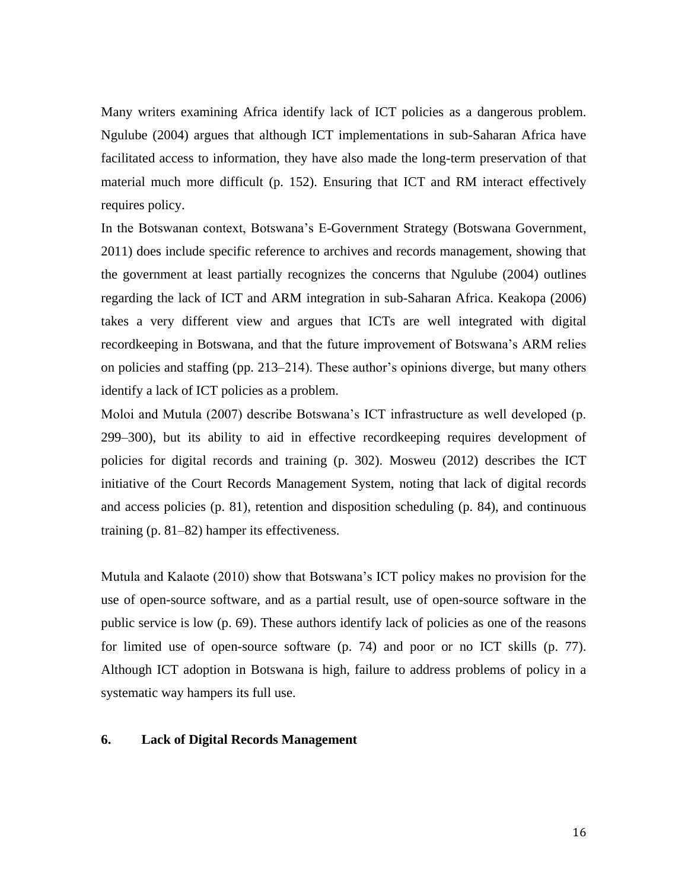Many writers examining Africa identify lack of ICT policies as a dangerous problem. Ngulube (2004) argues that although ICT implementations in sub-Saharan Africa have facilitated access to information, they have also made the long-term preservation of that material much more difficult (p. 152). Ensuring that ICT and RM interact effectively requires policy.

In the Botswanan context, Botswana's E-Government Strategy (Botswana Government, 2011) does include specific reference to archives and records management, showing that the government at least partially recognizes the concerns that Ngulube (2004) outlines regarding the lack of ICT and ARM integration in sub-Saharan Africa. Keakopa (2006) takes a very different view and argues that ICTs are well integrated with digital recordkeeping in Botswana, and that the future improvement of Botswana's ARM relies on policies and staffing (pp. 213–214). These author's opinions diverge, but many others identify a lack of ICT policies as a problem.

Moloi and Mutula (2007) describe Botswana's ICT infrastructure as well developed (p. 299–300), but its ability to aid in effective recordkeeping requires development of policies for digital records and training (p. 302). Mosweu (2012) describes the ICT initiative of the Court Records Management System, noting that lack of digital records and access policies (p. 81), retention and disposition scheduling (p. 84), and continuous training (p. 81–82) hamper its effectiveness.

Mutula and Kalaote (2010) show that Botswana's ICT policy makes no provision for the use of open-source software, and as a partial result, use of open-source software in the public service is low (p. 69). These authors identify lack of policies as one of the reasons for limited use of open-source software (p. 74) and poor or no ICT skills (p. 77). Although ICT adoption in Botswana is high, failure to address problems of policy in a systematic way hampers its full use.

### **6. Lack of Digital Records Management**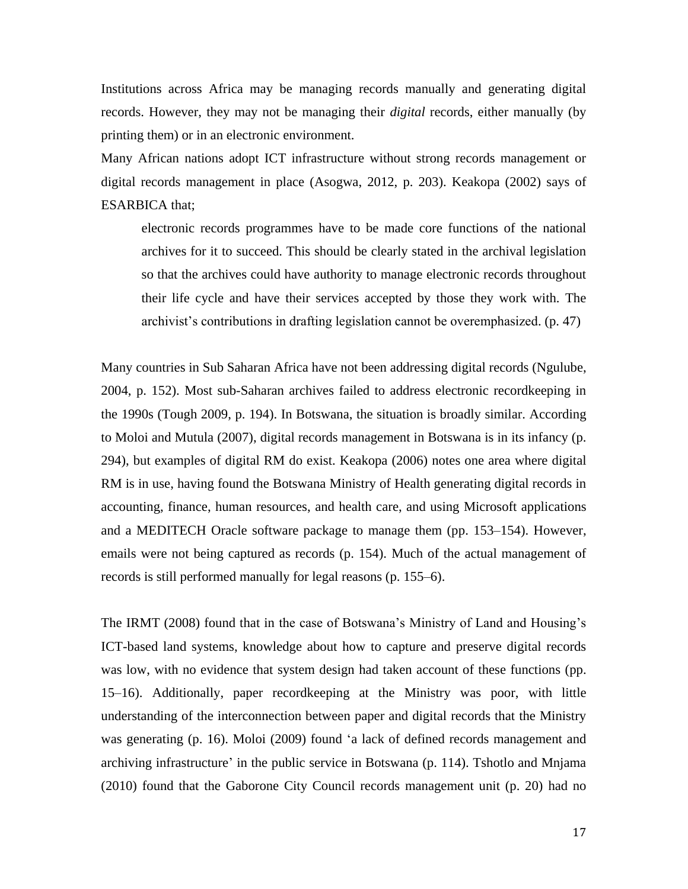Institutions across Africa may be managing records manually and generating digital records. However, they may not be managing their *digital* records, either manually (by printing them) or in an electronic environment.

Many African nations adopt ICT infrastructure without strong records management or digital records management in place (Asogwa, 2012, p. 203). Keakopa (2002) says of ESARBICA that;

electronic records programmes have to be made core functions of the national archives for it to succeed. This should be clearly stated in the archival legislation so that the archives could have authority to manage electronic records throughout their life cycle and have their services accepted by those they work with. The archivist's contributions in drafting legislation cannot be overemphasized. (p. 47)

Many countries in Sub Saharan Africa have not been addressing digital records (Ngulube, 2004, p. 152). Most sub-Saharan archives failed to address electronic recordkeeping in the 1990s (Tough 2009, p. 194). In Botswana, the situation is broadly similar. According to Moloi and Mutula (2007), digital records management in Botswana is in its infancy (p. 294), but examples of digital RM do exist. Keakopa (2006) notes one area where digital RM is in use, having found the Botswana Ministry of Health generating digital records in accounting, finance, human resources, and health care, and using Microsoft applications and a MEDITECH Oracle software package to manage them (pp. 153–154). However, emails were not being captured as records (p. 154). Much of the actual management of records is still performed manually for legal reasons (p. 155–6).

The IRMT (2008) found that in the case of Botswana's Ministry of Land and Housing's ICT-based land systems, knowledge about how to capture and preserve digital records was low, with no evidence that system design had taken account of these functions (pp. 15–16). Additionally, paper recordkeeping at the Ministry was poor, with little understanding of the interconnection between paper and digital records that the Ministry was generating (p. 16). Moloi (2009) found 'a lack of defined records management and archiving infrastructure' in the public service in Botswana (p. 114). Tshotlo and Mnjama (2010) found that the Gaborone City Council records management unit (p. 20) had no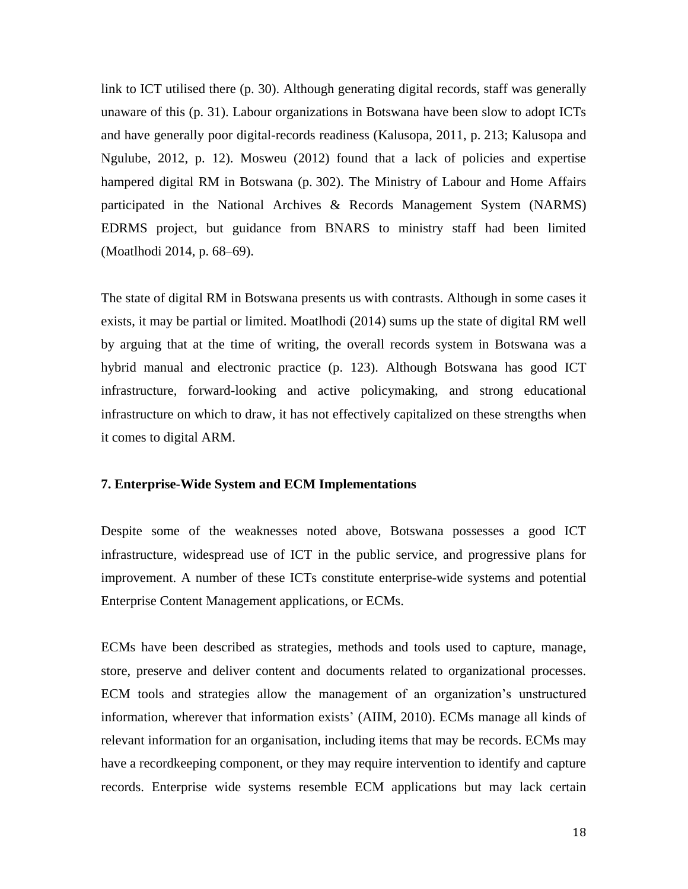link to ICT utilised there (p. 30). Although generating digital records, staff was generally unaware of this (p. 31). Labour organizations in Botswana have been slow to adopt ICTs and have generally poor digital-records readiness (Kalusopa, 2011, p. 213; Kalusopa and Ngulube, 2012, p. 12). Mosweu (2012) found that a lack of policies and expertise hampered digital RM in Botswana (p. 302). The Ministry of Labour and Home Affairs participated in the National Archives & Records Management System (NARMS) EDRMS project, but guidance from BNARS to ministry staff had been limited (Moatlhodi 2014, p. 68–69).

The state of digital RM in Botswana presents us with contrasts. Although in some cases it exists, it may be partial or limited. Moatlhodi (2014) sums up the state of digital RM well by arguing that at the time of writing, the overall records system in Botswana was a hybrid manual and electronic practice (p. 123). Although Botswana has good ICT infrastructure, forward-looking and active policymaking, and strong educational infrastructure on which to draw, it has not effectively capitalized on these strengths when it comes to digital ARM.

#### **7. Enterprise-Wide System and ECM Implementations**

Despite some of the weaknesses noted above, Botswana possesses a good ICT infrastructure, widespread use of ICT in the public service, and progressive plans for improvement. A number of these ICTs constitute enterprise-wide systems and potential Enterprise Content Management applications, or ECMs.

ECMs have been described as strategies, methods and tools used to capture, manage, store, preserve and deliver content and documents related to organizational processes. ECM tools and strategies allow the management of an organization's unstructured information, wherever that information exists' (AIIM, 2010). ECMs manage all kinds of relevant information for an organisation, including items that may be records. ECMs may have a recordkeeping component, or they may require intervention to identify and capture records. Enterprise wide systems resemble ECM applications but may lack certain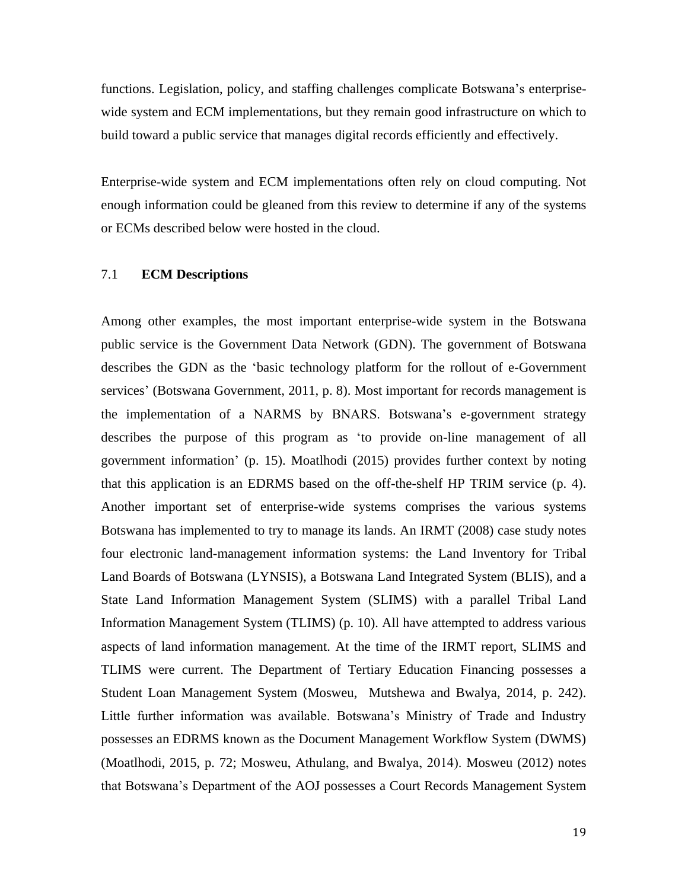functions. Legislation, policy, and staffing challenges complicate Botswana's enterprisewide system and ECM implementations, but they remain good infrastructure on which to build toward a public service that manages digital records efficiently and effectively.

Enterprise-wide system and ECM implementations often rely on cloud computing. Not enough information could be gleaned from this review to determine if any of the systems or ECMs described below were hosted in the cloud.

### 7.1 **ECM Descriptions**

Among other examples, the most important enterprise-wide system in the Botswana public service is the Government Data Network (GDN). The government of Botswana describes the GDN as the 'basic technology platform for the rollout of e-Government services' (Botswana Government, 2011, p. 8). Most important for records management is the implementation of a NARMS by BNARS. Botswana's e-government strategy describes the purpose of this program as 'to provide on-line management of all government information' (p. 15). Moatlhodi (2015) provides further context by noting that this application is an EDRMS based on the off-the-shelf HP TRIM service (p. 4). Another important set of enterprise-wide systems comprises the various systems Botswana has implemented to try to manage its lands. An IRMT (2008) case study notes four electronic land-management information systems: the Land Inventory for Tribal Land Boards of Botswana (LYNSIS), a Botswana Land Integrated System (BLIS), and a State Land Information Management System (SLIMS) with a parallel Tribal Land Information Management System (TLIMS) (p. 10). All have attempted to address various aspects of land information management. At the time of the IRMT report, SLIMS and TLIMS were current. The Department of Tertiary Education Financing possesses a Student Loan Management System (Mosweu, Mutshewa and Bwalya, 2014, p. 242). Little further information was available. Botswana's Ministry of Trade and Industry possesses an EDRMS known as the Document Management Workflow System (DWMS) (Moatlhodi, 2015, p. 72; Mosweu, Athulang, and Bwalya, 2014). Mosweu (2012) notes that Botswana's Department of the AOJ possesses a Court Records Management System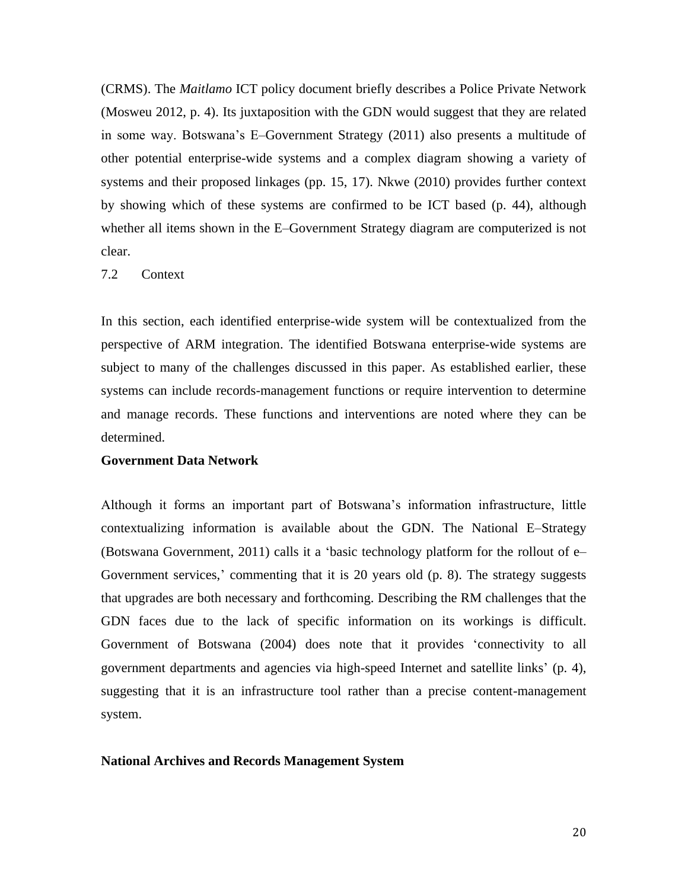(CRMS). The *Maitlamo* ICT policy document briefly describes a Police Private Network (Mosweu 2012, p. 4). Its juxtaposition with the GDN would suggest that they are related in some way. Botswana's E–Government Strategy (2011) also presents a multitude of other potential enterprise-wide systems and a complex diagram showing a variety of systems and their proposed linkages (pp. 15, 17). Nkwe (2010) provides further context by showing which of these systems are confirmed to be ICT based (p. 44), although whether all items shown in the E–Government Strategy diagram are computerized is not clear.

### 7.2 Context

In this section, each identified enterprise-wide system will be contextualized from the perspective of ARM integration. The identified Botswana enterprise-wide systems are subject to many of the challenges discussed in this paper. As established earlier, these systems can include records-management functions or require intervention to determine and manage records. These functions and interventions are noted where they can be determined.

#### **Government Data Network**

Although it forms an important part of Botswana's information infrastructure, little contextualizing information is available about the GDN. The National E–Strategy (Botswana Government, 2011) calls it a 'basic technology platform for the rollout of e– Government services,' commenting that it is 20 years old (p. 8). The strategy suggests that upgrades are both necessary and forthcoming. Describing the RM challenges that the GDN faces due to the lack of specific information on its workings is difficult. Government of Botswana (2004) does note that it provides 'connectivity to all government departments and agencies via high-speed Internet and satellite links' (p. 4), suggesting that it is an infrastructure tool rather than a precise content-management system.

#### **National Archives and Records Management System**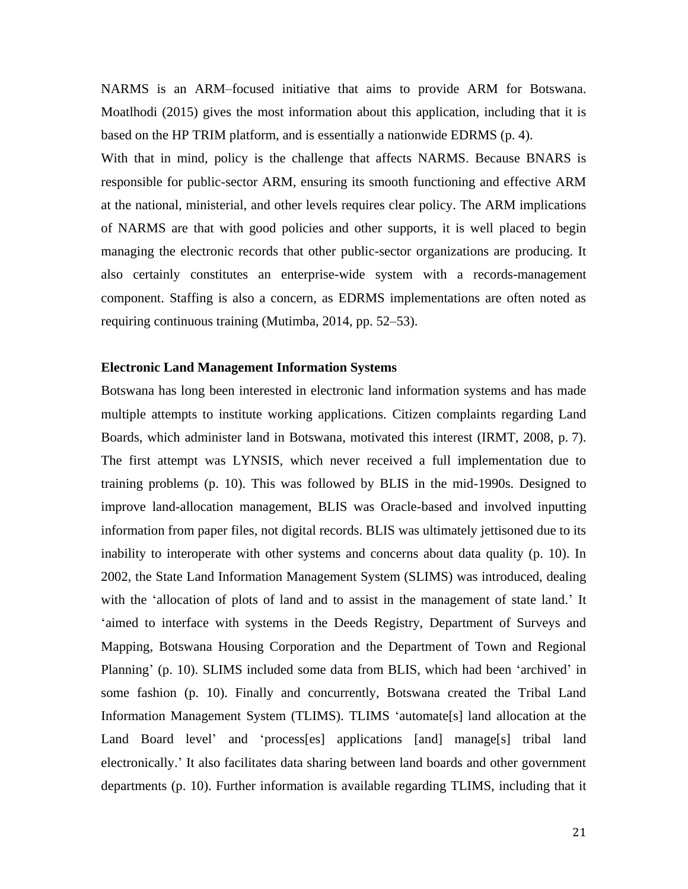NARMS is an ARM–focused initiative that aims to provide ARM for Botswana. Moatlhodi (2015) gives the most information about this application, including that it is based on the HP TRIM platform, and is essentially a nationwide EDRMS (p. 4).

With that in mind, policy is the challenge that affects NARMS. Because BNARS is responsible for public-sector ARM, ensuring its smooth functioning and effective ARM at the national, ministerial, and other levels requires clear policy. The ARM implications of NARMS are that with good policies and other supports, it is well placed to begin managing the electronic records that other public-sector organizations are producing. It also certainly constitutes an enterprise-wide system with a records-management component. Staffing is also a concern, as EDRMS implementations are often noted as requiring continuous training (Mutimba, 2014, pp. 52–53).

### **Electronic Land Management Information Systems**

Botswana has long been interested in electronic land information systems and has made multiple attempts to institute working applications. Citizen complaints regarding Land Boards, which administer land in Botswana, motivated this interest (IRMT, 2008, p. 7). The first attempt was LYNSIS, which never received a full implementation due to training problems (p. 10). This was followed by BLIS in the mid-1990s. Designed to improve land-allocation management, BLIS was Oracle-based and involved inputting information from paper files, not digital records. BLIS was ultimately jettisoned due to its inability to interoperate with other systems and concerns about data quality (p. 10). In 2002, the State Land Information Management System (SLIMS) was introduced, dealing with the 'allocation of plots of land and to assist in the management of state land.' It 'aimed to interface with systems in the Deeds Registry, Department of Surveys and Mapping, Botswana Housing Corporation and the Department of Town and Regional Planning' (p. 10). SLIMS included some data from BLIS, which had been 'archived' in some fashion (p. 10). Finally and concurrently, Botswana created the Tribal Land Information Management System (TLIMS). TLIMS 'automate[s] land allocation at the Land Board level' and 'process[es] applications [and] manage[s] tribal land electronically.' It also facilitates data sharing between land boards and other government departments (p. 10). Further information is available regarding TLIMS, including that it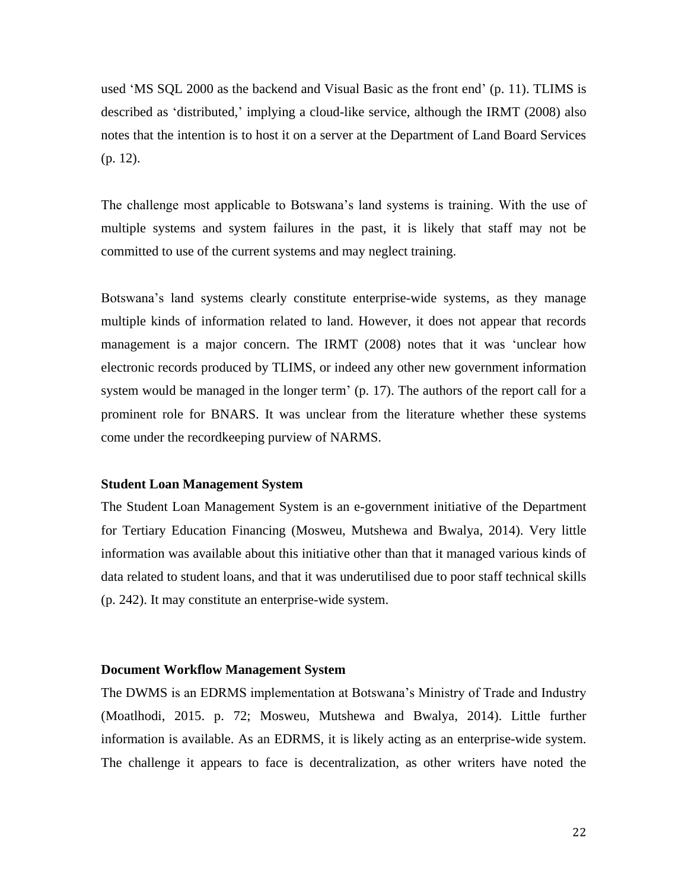used 'MS SQL 2000 as the backend and Visual Basic as the front end' (p. 11). TLIMS is described as 'distributed,' implying a cloud-like service, although the IRMT (2008) also notes that the intention is to host it on a server at the Department of Land Board Services (p. 12).

The challenge most applicable to Botswana's land systems is training. With the use of multiple systems and system failures in the past, it is likely that staff may not be committed to use of the current systems and may neglect training.

Botswana's land systems clearly constitute enterprise-wide systems, as they manage multiple kinds of information related to land. However, it does not appear that records management is a major concern. The IRMT (2008) notes that it was 'unclear how electronic records produced by TLIMS, or indeed any other new government information system would be managed in the longer term' (p. 17). The authors of the report call for a prominent role for BNARS. It was unclear from the literature whether these systems come under the recordkeeping purview of NARMS.

# **Student Loan Management System**

The Student Loan Management System is an e-government initiative of the Department for Tertiary Education Financing (Mosweu, Mutshewa and Bwalya, 2014). Very little information was available about this initiative other than that it managed various kinds of data related to student loans, and that it was underutilised due to poor staff technical skills (p. 242). It may constitute an enterprise-wide system.

# **Document Workflow Management System**

The DWMS is an EDRMS implementation at Botswana's Ministry of Trade and Industry (Moatlhodi, 2015. p. 72; Mosweu, Mutshewa and Bwalya, 2014). Little further information is available. As an EDRMS, it is likely acting as an enterprise-wide system. The challenge it appears to face is decentralization, as other writers have noted the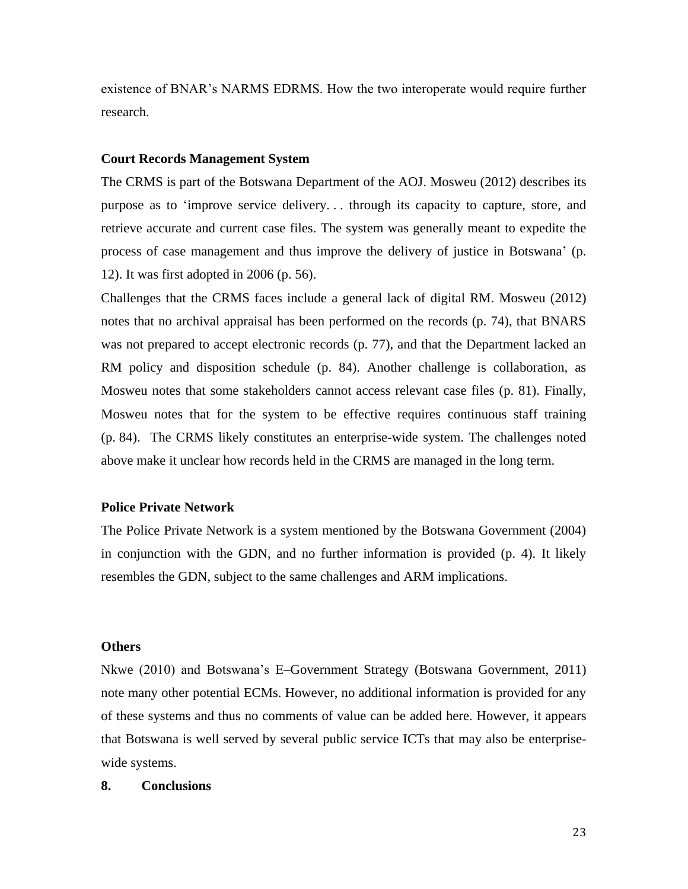existence of BNAR's NARMS EDRMS. How the two interoperate would require further research.

#### **Court Records Management System**

The CRMS is part of the Botswana Department of the AOJ. Mosweu (2012) describes its purpose as to 'improve service delivery. . . through its capacity to capture, store, and retrieve accurate and current case files. The system was generally meant to expedite the process of case management and thus improve the delivery of justice in Botswana' (p. 12). It was first adopted in 2006 (p. 56).

Challenges that the CRMS faces include a general lack of digital RM. Mosweu (2012) notes that no archival appraisal has been performed on the records (p. 74), that BNARS was not prepared to accept electronic records (p. 77), and that the Department lacked an RM policy and disposition schedule (p. 84). Another challenge is collaboration, as Mosweu notes that some stakeholders cannot access relevant case files (p. 81). Finally, Mosweu notes that for the system to be effective requires continuous staff training (p. 84). The CRMS likely constitutes an enterprise-wide system. The challenges noted above make it unclear how records held in the CRMS are managed in the long term.

#### **Police Private Network**

The Police Private Network is a system mentioned by the Botswana Government (2004) in conjunction with the GDN, and no further information is provided (p. 4). It likely resembles the GDN, subject to the same challenges and ARM implications.

#### **Others**

Nkwe (2010) and Botswana's E–Government Strategy (Botswana Government, 2011) note many other potential ECMs. However, no additional information is provided for any of these systems and thus no comments of value can be added here. However, it appears that Botswana is well served by several public service ICTs that may also be enterprisewide systems.

#### **8. Conclusions**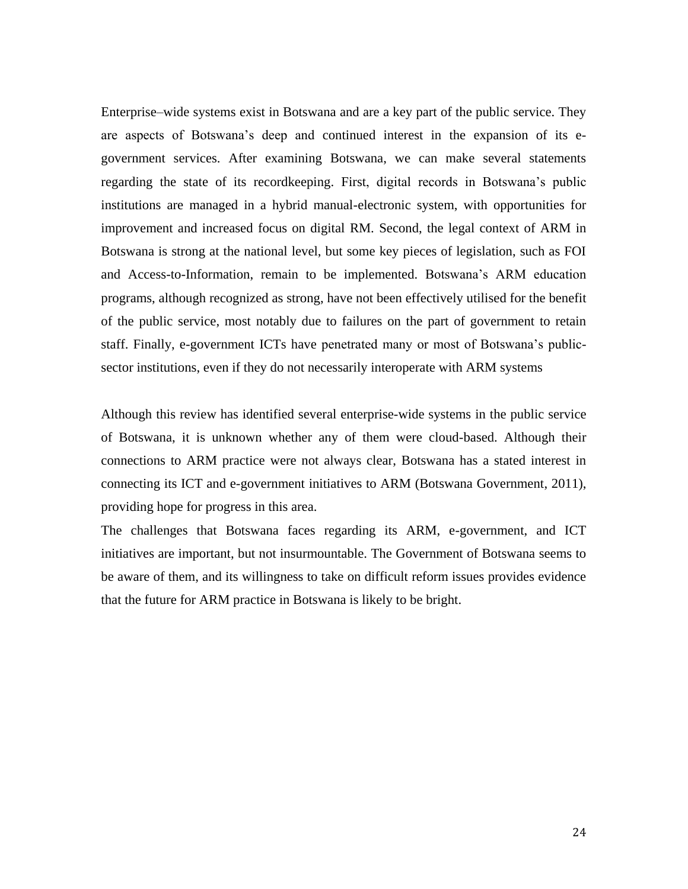Enterprise–wide systems exist in Botswana and are a key part of the public service. They are aspects of Botswana's deep and continued interest in the expansion of its egovernment services. After examining Botswana, we can make several statements regarding the state of its recordkeeping. First, digital records in Botswana's public institutions are managed in a hybrid manual-electronic system, with opportunities for improvement and increased focus on digital RM. Second, the legal context of ARM in Botswana is strong at the national level, but some key pieces of legislation, such as FOI and Access-to-Information, remain to be implemented. Botswana's ARM education programs, although recognized as strong, have not been effectively utilised for the benefit of the public service, most notably due to failures on the part of government to retain staff. Finally, e-government ICTs have penetrated many or most of Botswana's publicsector institutions, even if they do not necessarily interoperate with ARM systems

Although this review has identified several enterprise-wide systems in the public service of Botswana, it is unknown whether any of them were cloud-based. Although their connections to ARM practice were not always clear, Botswana has a stated interest in connecting its ICT and e-government initiatives to ARM (Botswana Government, 2011), providing hope for progress in this area.

The challenges that Botswana faces regarding its ARM, e-government, and ICT initiatives are important, but not insurmountable. The Government of Botswana seems to be aware of them, and its willingness to take on difficult reform issues provides evidence that the future for ARM practice in Botswana is likely to be bright.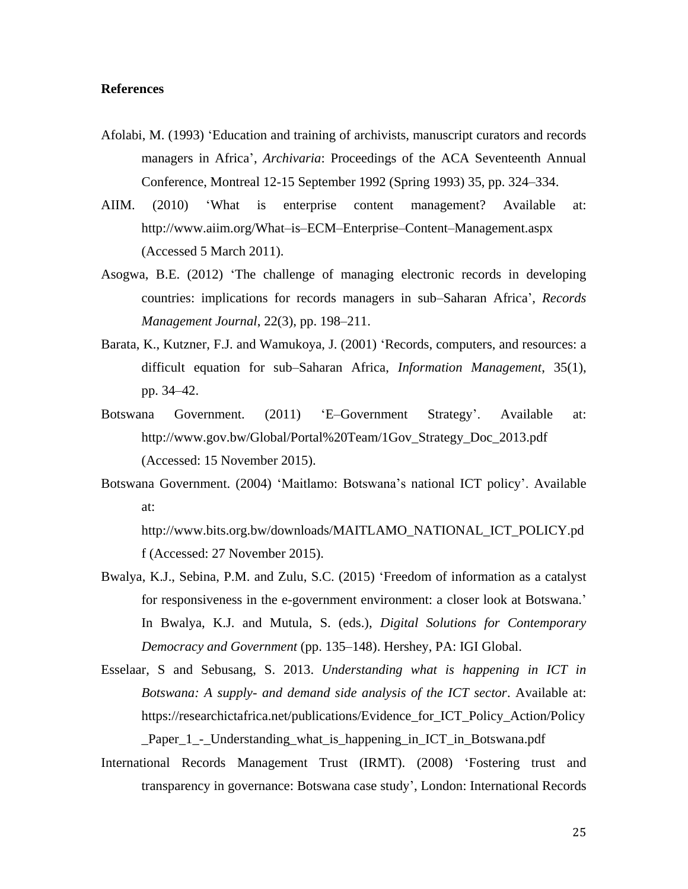### **References**

- Afolabi, M. (1993) 'Education and training of archivists, manuscript curators and records managers in Africa', *Archivaria*: [Proceedings of the ACA Seventeenth Annual](https://archivaria.ca/index.php/archivaria/issue/view/394)  [Conference, Montreal 12-15 September 1992 \(Spring 1993\)](https://archivaria.ca/index.php/archivaria/issue/view/394) 35, pp. 324–334.
- AIIM. (2010) 'What is enterprise content management? Available at: http://www.aiim.org/What–is–ECM–Enterprise–Content–Management.aspx (Accessed 5 March 2011).
- Asogwa, B.E. (2012) 'The challenge of managing electronic records in developing countries: implications for records managers in sub–Saharan Africa', *Records Management Journal*, 22(3), pp. 198–211.
- Barata, K., Kutzner, F.J. and Wamukoya, J. (2001) 'Records, computers, and resources: a difficult equation for sub–Saharan Africa, *Information Management*, 35(1), pp. 34–42.
- Botswana Government. (2011) 'E–Government Strategy'. Available at: http://www.gov.bw/Global/Portal%20Team/1Gov\_Strategy\_Doc\_2013.pdf (Accessed: 15 November 2015).
- Botswana Government. (2004) 'Maitlamo: Botswana's national ICT policy'. Available at:

http://www.bits.org.bw/downloads/MAITLAMO\_NATIONAL\_ICT\_POLICY.pd f (Accessed: 27 November 2015).

- Bwalya, K.J., Sebina, P.M. and Zulu, S.C. (2015) 'Freedom of information as a catalyst for responsiveness in the e-government environment: a closer look at Botswana.' In Bwalya, K.J. and Mutula, S. (eds.), *Digital Solutions for Contemporary Democracy and Government* (pp. 135–148). Hershey, PA: IGI Global.
- Esselaar, S and Sebusang, S. 2013. *Understanding what is happening in ICT in Botswana: A supply- and demand side analysis of the ICT sector*. Available at: https://researchictafrica.net/publications/Evidence\_for\_ICT\_Policy\_Action/Policy \_Paper\_1\_-\_Understanding\_what\_is\_happening\_in\_ICT\_in\_Botswana.pdf
- International Records Management Trust (IRMT). (2008) 'Fostering trust and transparency in governance: Botswana case study', London: International Records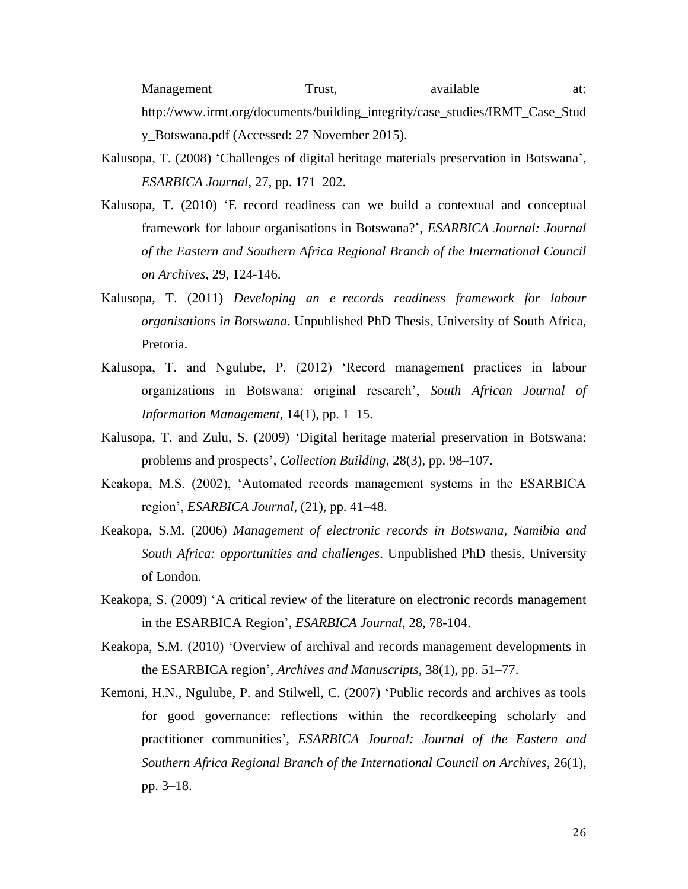Management Trust, available at: http://www.irmt.org/documents/building\_integrity/case\_studies/IRMT\_Case\_Stud y\_Botswana.pdf (Accessed: 27 November 2015).

- Kalusopa, T. (2008) 'Challenges of digital heritage materials preservation in Botswana', *ESARBICA Journal*, 27, pp. 171–202.
- Kalusopa, T. (2010) 'E–record readiness–can we build a contextual and conceptual framework for labour organisations in Botswana?', *ESARBICA Journal: Journal of the Eastern and Southern Africa Regional Branch of the International Council on Archives*, 29, 124-146.
- Kalusopa, T. (2011) *Developing an e–records readiness framework for labour organisations in Botswana*. Unpublished PhD Thesis, University of South Africa, Pretoria.
- Kalusopa, T. and Ngulube, P. (2012) 'Record management practices in labour organizations in Botswana: original research', *South African Journal of Information Management*, 14(1), pp. 1–15.
- Kalusopa, T. and Zulu, S. (2009) 'Digital heritage material preservation in Botswana: problems and prospects', *Collection Building*, 28(3), pp. 98–107.
- Keakopa, M.S. (2002), 'Automated records management systems in the ESARBICA region', *ESARBICA Journal*, (21), pp. 41–48.
- Keakopa, S.M. (2006) *Management of electronic records in Botswana, Namibia and South Africa: opportunities and challenges*. Unpublished PhD thesis, University of London.
- Keakopa, S. (2009) 'A critical review of the literature on electronic records management in the ESARBICA Region', *ESARBICA Journal*, 28, 78-104.
- Keakopa, S.M. (2010) 'Overview of archival and records management developments in the ESARBICA region', *Archives and Manuscripts*, 38(1), pp. 51–77.
- Kemoni, H.N., Ngulube, P. and Stilwell, C. (2007) 'Public records and archives as tools for good governance: reflections within the recordkeeping scholarly and practitioner communities', *ESARBICA Journal: Journal of the Eastern and Southern Africa Regional Branch of the International Council on Archives*, 26(1), pp. 3–18.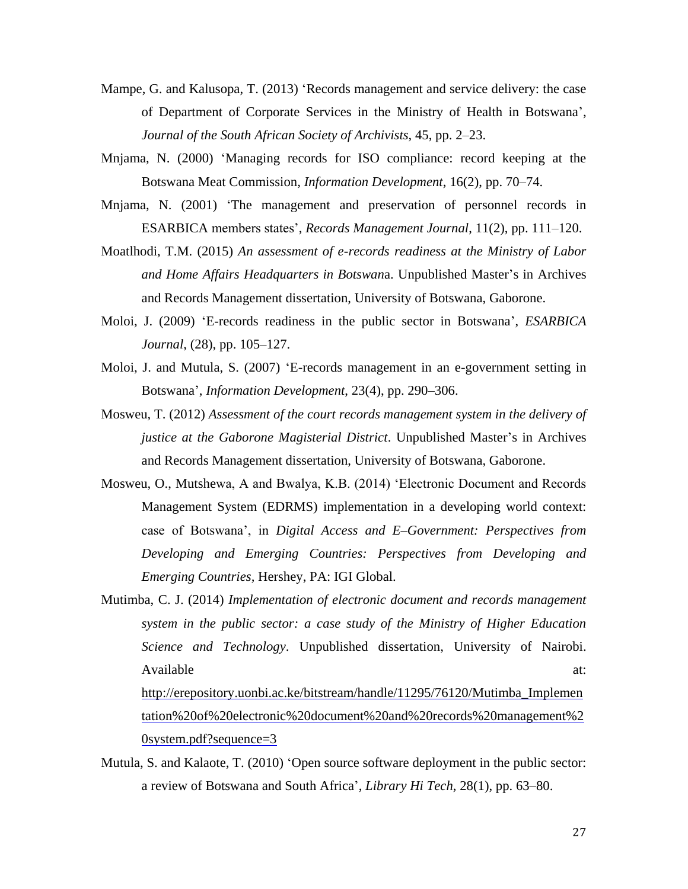- Mampe, G. and Kalusopa, T. (2013) 'Records management and service delivery: the case of Department of Corporate Services in the Ministry of Health in Botswana', *Journal of the South African Society of Archivists*, 45, pp. 2–23.
- Mnjama, N. (2000) 'Managing records for ISO compliance: record keeping at the Botswana Meat Commission, *Information Development*, 16(2), pp. 70–74.
- Mnjama, N. (2001) 'The management and preservation of personnel records in ESARBICA members states', *Records Management Journal*, 11(2), pp. 111–120.
- Moatlhodi, T.M. (2015) *An assessment of e-records readiness at the Ministry of Labor and Home Affairs Headquarters in Botswan*a. Unpublished Master's in Archives and Records Management dissertation, University of Botswana, Gaborone.
- Moloi, J. (2009) 'E-records readiness in the public sector in Botswana', *ESARBICA Journal*, (28), pp. 105–127.
- Moloi, J. and Mutula, S. (2007) 'E-records management in an e-government setting in Botswana', *Information Development*, 23(4), pp. 290–306.
- Mosweu, T. (2012) *Assessment of the court records management system in the delivery of justice at the Gaborone Magisterial District*. Unpublished Master's in Archives and Records Management dissertation, University of Botswana, Gaborone.
- Mosweu, O., Mutshewa, A and Bwalya, K.B. (2014) 'Electronic Document and Records Management System (EDRMS) implementation in a developing world context: case of Botswana', in *Digital Access and E–Government: Perspectives from Developing and Emerging Countries: Perspectives from Developing and Emerging Countries,* Hershey, PA: IGI Global.
- Mutimba, C. J. (2014) *Implementation of electronic document and records management system in the public sector: a case study of the Ministry of Higher Education Science and Technology*. Unpublished dissertation, University of Nairobi. Available at:  $\alpha$  at a set of  $\alpha$  at a set of  $\alpha$  at a set of  $\alpha$  at a set of  $\alpha$  at a set of  $\alpha$  at a set of  $\alpha$  at a set of  $\alpha$  at a set of  $\alpha$  at a set of  $\alpha$  at a set of  $\alpha$  at a set of  $\alpha$  at a set of  $\alpha$ [http://erepository.uonbi.ac.ke/bitstream/handle/11295/76120/Mutimba\\_Implemen](http://erepository.uonbi.ac.ke/bitstream/handle/11295/76120/Mutimba_Implementation%20of%20electronic%20document%20and%20records%20management%20system.pdf?sequence=3) [tation%20of%20electronic%20document%20and%20records%20management%2](http://erepository.uonbi.ac.ke/bitstream/handle/11295/76120/Mutimba_Implementation%20of%20electronic%20document%20and%20records%20management%20system.pdf?sequence=3) [0system.pdf?sequence=3](http://erepository.uonbi.ac.ke/bitstream/handle/11295/76120/Mutimba_Implementation%20of%20electronic%20document%20and%20records%20management%20system.pdf?sequence=3)
- Mutula, S. and Kalaote, T. (2010) 'Open source software deployment in the public sector: a review of Botswana and South Africa', *Library Hi Tech*, 28(1), pp. 63–80.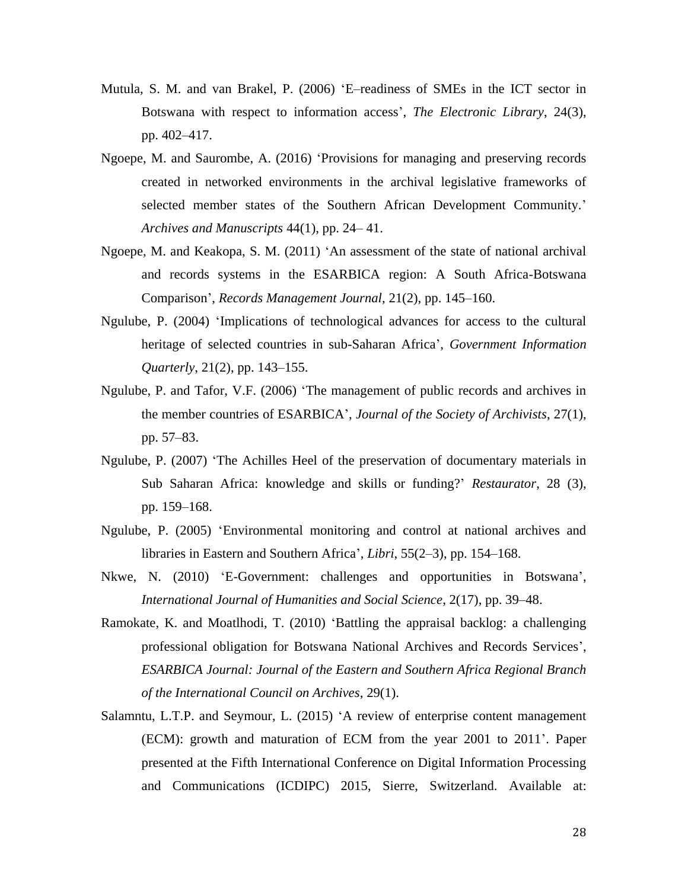- Mutula, S. M. and van Brakel, P. (2006) 'E–readiness of SMEs in the ICT sector in Botswana with respect to information access', *The Electronic Library*, 24(3), pp. 402–417.
- Ngoepe, M. and Saurombe, A. (2016) 'Provisions for managing and preserving records created in networked environments in the archival legislative frameworks of selected member states of the Southern African Development Community.' *Archives and Manuscripts* 44(1), pp. 24– 41.
- Ngoepe, M. and Keakopa, S. M. (2011) 'An assessment of the state of national archival and records systems in the ESARBICA region: A South Africa-Botswana Comparison', *Records Management Journal*, 21(2), pp. 145–160.
- Ngulube, P. (2004) 'Implications of technological advances for access to the cultural heritage of selected countries in sub-Saharan Africa', *Government Information Quarterly*, 21(2), pp. 143–155.
- Ngulube, P. and Tafor, V.F. (2006) 'The management of public records and archives in the member countries of ESARBICA', *Journal of the Society of Archivists*, 27(1), pp. 57–83.
- Ngulube, P. (2007) 'The Achilles Heel of the preservation of documentary materials in Sub Saharan Africa: knowledge and skills or funding?' *Restaurator*, 28 (3), pp. 159–168.
- Ngulube, P. (2005) 'Environmental monitoring and control at national archives and libraries in Eastern and Southern Africa', *Libri*, 55(2–3), pp. 154–168.
- Nkwe, N. (2010) 'E-Government: challenges and opportunities in Botswana', *International Journal of Humanities and Social Science*, 2(17), pp. 39–48.
- Ramokate, K. and Moatlhodi, T. (2010) 'Battling the appraisal backlog: a challenging professional obligation for Botswana National Archives and Records Services', *ESARBICA Journal: Journal of the Eastern and Southern Africa Regional Branch of the International Council on Archives*, 29(1).
- Salamntu, L.T.P. and Seymour, L. (2015) 'A review of enterprise content management (ECM): growth and maturation of ECM from the year 2001 to 2011'. Paper presented at the Fifth International Conference on Digital Information Processing and Communications (ICDIPC) 2015, Sierre, Switzerland. Available at: